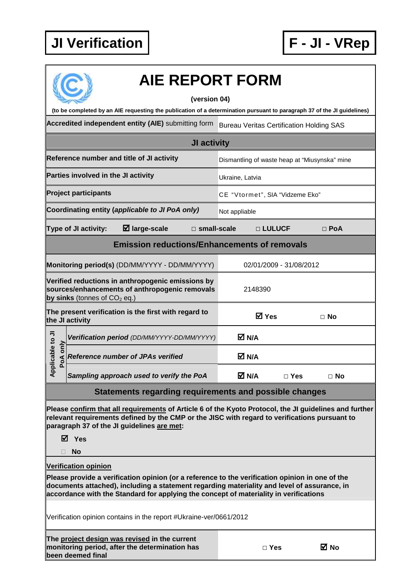

| <b>AIE REPORT FORM</b><br>(version 04)                                                                                                                                                                                                                                                                                 |                                                                                                     |                                                 |                         |  |  |  |  |
|------------------------------------------------------------------------------------------------------------------------------------------------------------------------------------------------------------------------------------------------------------------------------------------------------------------------|-----------------------------------------------------------------------------------------------------|-------------------------------------------------|-------------------------|--|--|--|--|
| (to be completed by an AIE requesting the publication of a determination pursuant to paragraph 37 of the JI guidelines)                                                                                                                                                                                                |                                                                                                     |                                                 |                         |  |  |  |  |
|                                                                                                                                                                                                                                                                                                                        | Accredited independent entity (AIE) submitting form                                                 | <b>Bureau Veritas Certification Holding SAS</b> |                         |  |  |  |  |
| JI activity                                                                                                                                                                                                                                                                                                            |                                                                                                     |                                                 |                         |  |  |  |  |
| Reference number and title of JI activity                                                                                                                                                                                                                                                                              |                                                                                                     | Dismantling of waste heap at "Miusynska" mine   |                         |  |  |  |  |
| Parties involved in the JI activity                                                                                                                                                                                                                                                                                    |                                                                                                     | Ukraine, Latvia                                 |                         |  |  |  |  |
| <b>Project participants</b>                                                                                                                                                                                                                                                                                            |                                                                                                     | CE "Vtormet", SIA "Vidzeme Eko"                 |                         |  |  |  |  |
|                                                                                                                                                                                                                                                                                                                        | Coordinating entity (applicable to JI PoA only)                                                     | Not appliable                                   |                         |  |  |  |  |
| <b>Type of JI activity:</b>                                                                                                                                                                                                                                                                                            | $\boxtimes$ large-scale<br>$\square$ small-scale                                                    | □ LULUCF                                        | $\Box$ PoA              |  |  |  |  |
| <b>Emission reductions/Enhancements of removals</b>                                                                                                                                                                                                                                                                    |                                                                                                     |                                                 |                         |  |  |  |  |
|                                                                                                                                                                                                                                                                                                                        | Monitoring period(s) (DD/MM/YYYY - DD/MM/YYYY)                                                      |                                                 | 02/01/2009 - 31/08/2012 |  |  |  |  |
| by sinks (tonnes of $CO2$ eq.)                                                                                                                                                                                                                                                                                         | Verified reductions in anthropogenic emissions by<br>sources/enhancements of anthropogenic removals | 2148390                                         |                         |  |  |  |  |
| The present verification is the first with regard to<br>the JI activity                                                                                                                                                                                                                                                |                                                                                                     | <b>☑</b> Yes                                    | $\Box$ No               |  |  |  |  |
|                                                                                                                                                                                                                                                                                                                        | Verification period (DD/MM/YYYY-DD/MM/YYYY)                                                         | M N/A                                           |                         |  |  |  |  |
| pplicable to JI<br>PoA only                                                                                                                                                                                                                                                                                            | <b>Reference number of JPAs verified</b>                                                            | M N/A                                           |                         |  |  |  |  |
| ⋖                                                                                                                                                                                                                                                                                                                      | Sampling approach used to verify the PoA                                                            | M N/A                                           | $\Box$ Yes<br>$\Box$ No |  |  |  |  |
| Statements regarding requirements and possible changes                                                                                                                                                                                                                                                                 |                                                                                                     |                                                 |                         |  |  |  |  |
| Please confirm that all requirements of Article 6 of the Kyoto Protocol, the JI guidelines and further<br>relevant requirements defined by the CMP or the JISC with regard to verifications pursuant to<br>paragraph 37 of the JI guidelines are met:                                                                  |                                                                                                     |                                                 |                         |  |  |  |  |
| <b>☑</b> Yes<br>No                                                                                                                                                                                                                                                                                                     |                                                                                                     |                                                 |                         |  |  |  |  |
|                                                                                                                                                                                                                                                                                                                        |                                                                                                     |                                                 |                         |  |  |  |  |
| <b>Verification opinion</b><br>Please provide a verification opinion (or a reference to the verification opinion in one of the<br>documents attached), including a statement regarding materiality and level of assurance, in<br>accordance with the Standard for applying the concept of materiality in verifications |                                                                                                     |                                                 |                         |  |  |  |  |
| Verification opinion contains in the report #Ukraine-ver/0661/2012                                                                                                                                                                                                                                                     |                                                                                                     |                                                 |                         |  |  |  |  |
| been deemed final                                                                                                                                                                                                                                                                                                      | The project design was revised in the current<br>monitoring period, after the determination has     | $\Box$ Yes                                      | ⊠ No                    |  |  |  |  |